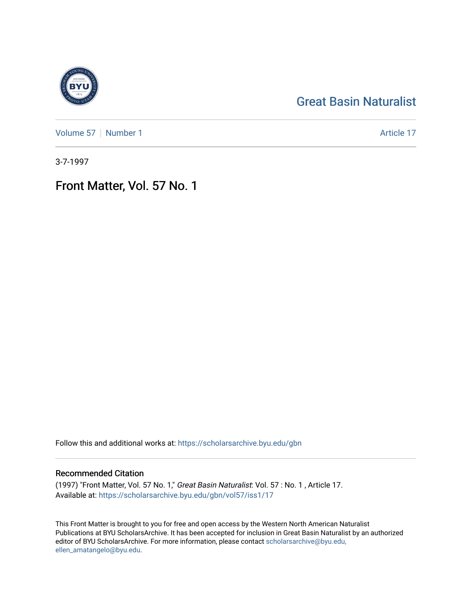# [Great Basin Naturalist](https://scholarsarchive.byu.edu/gbn)

[Volume 57](https://scholarsarchive.byu.edu/gbn/vol57) | [Number 1](https://scholarsarchive.byu.edu/gbn/vol57/iss1) Article 17

3-7-1997

# Front Matter, Vol. 57 No. 1

Follow this and additional works at: [https://scholarsarchive.byu.edu/gbn](https://scholarsarchive.byu.edu/gbn?utm_source=scholarsarchive.byu.edu%2Fgbn%2Fvol57%2Fiss1%2F17&utm_medium=PDF&utm_campaign=PDFCoverPages) 

### Recommended Citation

(1997) "Front Matter, Vol. 57 No. 1," Great Basin Naturalist: Vol. 57 : No. 1 , Article 17. Available at: [https://scholarsarchive.byu.edu/gbn/vol57/iss1/17](https://scholarsarchive.byu.edu/gbn/vol57/iss1/17?utm_source=scholarsarchive.byu.edu%2Fgbn%2Fvol57%2Fiss1%2F17&utm_medium=PDF&utm_campaign=PDFCoverPages) 

This Front Matter is brought to you for free and open access by the Western North American Naturalist Publications at BYU ScholarsArchive. It has been accepted for inclusion in Great Basin Naturalist by an authorized editor of BYU ScholarsArchive. For more information, please contact [scholarsarchive@byu.edu,](mailto:scholarsarchive@byu.edu,%20ellen_amatangelo@byu.edu) [ellen\\_amatangelo@byu.edu](mailto:scholarsarchive@byu.edu,%20ellen_amatangelo@byu.edu).

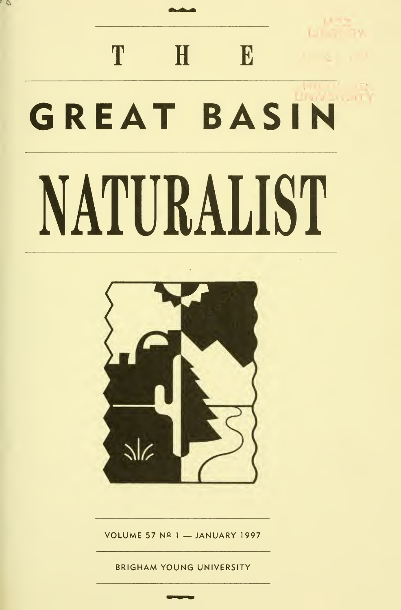# T H E GREAT BASIN NATURALIST

, c



VOLUME 57 Nº 1 - JANUARY 1997

BRIGHAM YOUNG UNIVERSITY